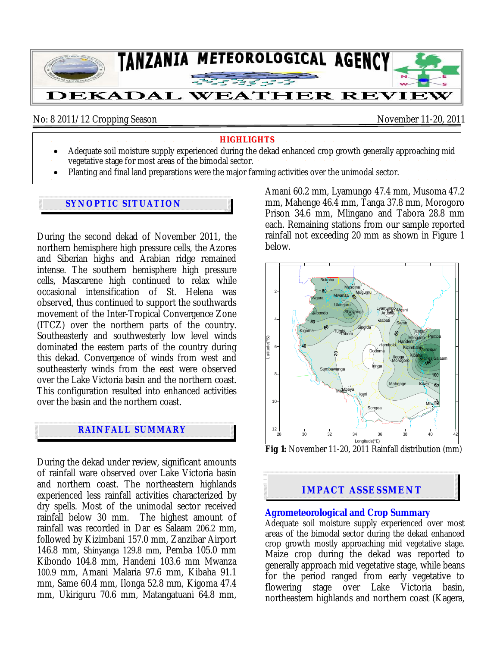

No: 8 2011/12 Cropping Season November 11-20, 2011

#### **HIGHLIGHTS**

- Adequate soil moisture supply experienced during the dekad enhanced crop growth generally approaching mid vegetative stage for most areas of the bimodal sector.
- Planting and final land preparations were the major farming activities over the unimodal sector.

### **SYNOPTIC SITUATION**

During the second dekad of November 2011, the northern hemisphere high pressure cells, the Azores and Siberian highs and Arabian ridge remained intense. The southern hemisphere high pressure cells, Mascarene high continued to relax while occasional intensification of St. Helena was observed, thus continued to support the southwards movement of the Inter-Tropical Convergence Zone (ITCZ) over the northern parts of the country. Southeasterly and southwesterly low level winds dominated the eastern parts of the country during this dekad. Convergence of winds from west and southeasterly winds from the east were observed over the Lake Victoria basin and the northern coast. This configuration resulted into enhanced activities over the basin and the northern coast.

## **RAINFALL SUMMARY**

During the dekad under review, significant amounts of rainfall ware observed over Lake Victoria basin and northern coast. The northeastern highlands experienced less rainfall activities characterized by dry spells. Most of the unimodal sector received rainfall below 30 mm. The highest amount of rainfall was recorded in Dar es Salaam 206.2 mm, followed by Kizimbani 157.0 mm, Zanzibar Airport 146.8 mm, Shinyanga 129.8 mm, Pemba 105.0 mm Kibondo 104.8 mm, Handeni 103.6 mm Mwanza 100.9 mm, Amani Malaria 97.6 mm, Kibaha 91.1 mm, Same 60.4 mm, Ilonga 52.8 mm, Kigoma 47.4 mm, Ukiriguru 70.6 mm, Matangatuani 64.8 mm,

Amani 60.2 mm, Lyamungo 47.4 mm, Musoma 47.2 mm, Mahenge 46.4 mm, Tanga 37.8 mm, Morogoro Prison 34.6 mm, Mlingano and Tabora 28.8 mm each. Remaining stations from our sample reported rainfall not exceeding 20 mm as shown in Figure 1 below.



Longitude(<sup>e</sup>E)<br>**Fig 1:** November 11-20, 2011 Rainfall distribution (mm)

# **IMPACT ASSESSMENT**

#### **Agrometeorological and Crop Summary**

Adequate soil moisture supply experienced over most areas of the bimodal sector during the dekad enhanced crop growth mostly approaching mid vegetative stage. Maize crop during the dekad was reported to generally approach mid vegetative stage, while beans for the period ranged from early vegetative to flowering stage over Lake Victoria basin, northeastern highlands and northern coast (Kagera,